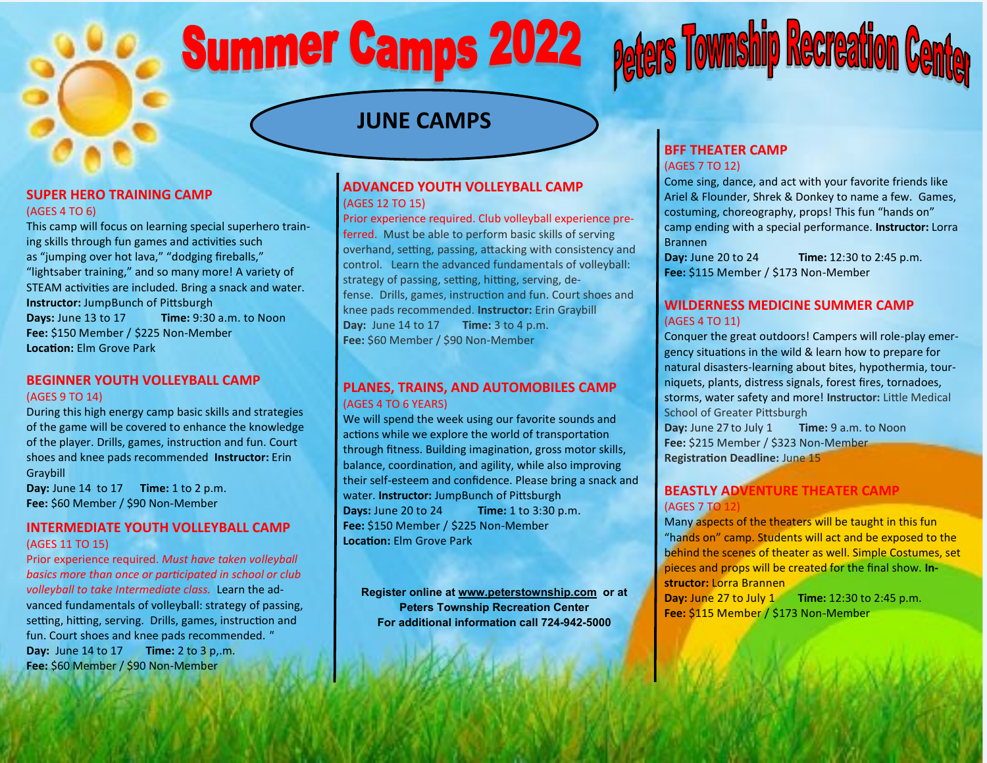# **Summer Camps 2022**

### **JUNE CAMPS**

#### **SUPER HERO TRAINING CAMP** (AGES 4 TO 6)

This camp will focus on learning special superhero training skills through fun games and activities such as "jumping over hot lava," "dodging fireballs," "lightsaber training," and so many more! A variety of STEAM activities are included. Bring a snack and water. **Instructor:** JumpBunch of Pittsburgh **Days:** June 13 to 17 **Time:** 9:30 a.m. to Noon **Fee:** \$150 Member / \$225 Non-Member **Location:** Elm Grove Park

#### **BEGINNER YOUTH VOLLEYBALL CAMP**

#### (AGES 9 TO 14)

During this high energy camp basic skills and strategies of the game will be covered to enhance the knowledge of the player. Drills, games, instruction and fun. Court shoes and knee pads recommended **Instructor:** Erin Graybill

**Day:** June 14 to 17 **Time:** 1 to 2 p.m. **Fee:** \$60 Member / \$90 Non-Member

#### **INTERMEDIATE YOUTH VOLLEYBALL CAMP** (AGES 11 TO 15)

Prior experience required. *Must have taken volleyball basics more than once or participated in school or club volleyball to take Intermediate class.* Learn the advanced fundamentals of volleyball: strategy of passing, setting, hitting, serving. Drills, games, instruction and fun. Court shoes and knee pads recommended. *"* **Day:** June 14 to 17 **Time:** 2 to 3 p,.m. **Fee:** \$60 Member / \$90 Non-Member

#### **ADVANCED YOUTH VOLLEYBALL CAMP** (AGES 12 TO 15)

Prior experience required. Club volleyball experience preferred. Must be able to perform basic skills of serving overhand, setting, passing, attacking with consistency and control. Learn the advanced fundamentals of volleyball: strategy of passing, setting, hitting, serving, defense. Drills, games, instruction and fun. Court shoes and knee pads recommended. **Instructor:** Erin Graybill **Day:** June 14 to 17 **Time:** 3 to 4 p.m. **Fee:** \$60 Member / \$90 Non-Member

#### **PLANES, TRAINS, AND AUTOMOBILES CAMP** (AGES 4 TO 6 YEARS)

We will spend the week using our favorite sounds and actions while we explore the world of transportation through fitness. Building imagination, gross motor skills, balance, coordination, and agility, while also improving their self-esteem and confidence. Please bring a snack and water. **Instructor:** JumpBunch of Pittsburgh **Days:** June 20 to 24 **Time:** 1 to 3:30 p.m. **Fee:** \$150 Member / \$225 Non-Member **Location:** Elm Grove Park

**Register online at [www.peterstownship.com](http://www.peterstownship.com) or at Peters Township Recreation Center For additional information call 724-942-5000** 

#### **BFF THEATER CAMP** (AGES 7 TO 12)

Come sing, dance, and act with your favorite friends like Ariel & Flounder, Shrek & Donkey to name a few. Games, costuming, choreography, props! This fun "hands on" camp ending with a special performance. **Instructor:** Lorra Brannen

**Day:** June 20 to 24 **Time:** 12:30 to 2:45 p.m. **Fee:** \$115 Member / \$173 Non-Member

**Peters Township Recreation Center** 

#### **WILDERNESS MEDICINE SUMMER CAMP**  (AGES 4 TO 11)

Conquer the great outdoors! Campers will role-play emergency situations in the wild & learn how to prepare for natural disasters-learning about bites, hypothermia, tourniquets, plants, distress signals, forest fires, tornadoes, storms, water safety and more! **Instructor:** Little Medical School of Greater Pittsburgh **Day:** June 27 to July 1 **Time:** 9 a.m. to Noon **Fee:** \$215 Member / \$323 Non-Member **Registration Deadline:** June 15

#### **BEASTLY ADVENTURE THEATER CAMP** (AGES 7 TO 12)

Many aspects of the theaters will be taught in this fun "hands on" camp. Students will act and be exposed to the behind the scenes of theater as well. Simple Costumes, set pieces and props will be created for the final show. **Instructor:** Lorra Brannen

**Day:** June 27 to July 1 **Time:** 12:30 to 2:45 p.m. **Fee:** \$115 Member / \$173 Non-Member